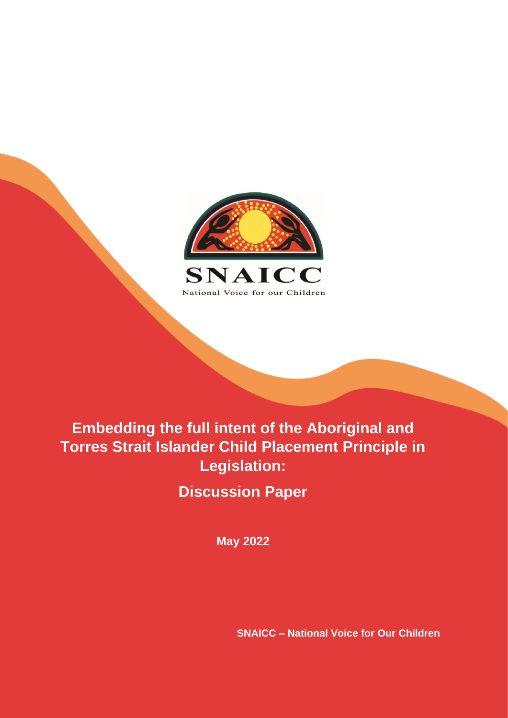

# **Embedding the full intent of the Aboriginal and Torres Strait Islander Child Placement Principle in Legislation:**

**Discussion Paper**

**May 2022**

**SNAICC – National Voice for Our Children**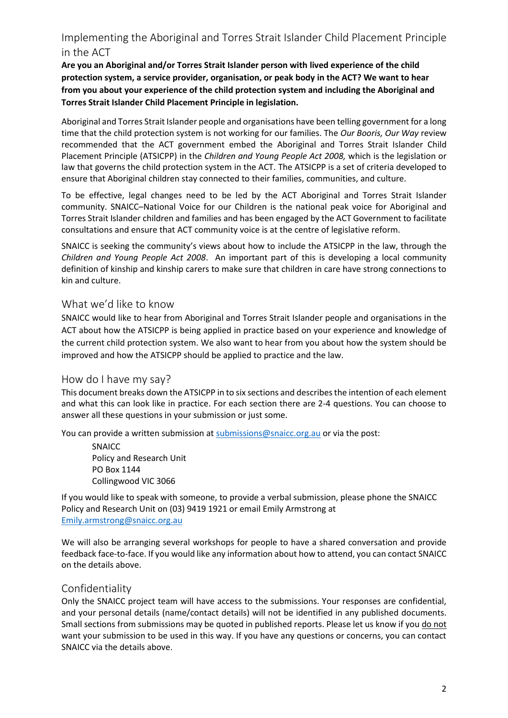### Implementing the Aboriginal and Torres Strait Islander Child Placement Principle in the ACT

**Are you an Aboriginal and/or Torres Strait Islander person with lived experience of the child protection system, a service provider, organisation, or peak body in the ACT? We want to hear from you about your experience of the child protection system and including the Aboriginal and Torres Strait Islander Child Placement Principle in legislation.**

Aboriginal and Torres Strait Islander people and organisations have been telling government for a long time that the child protection system is not working for our families. The *Our Booris, Our Way* review recommended that the ACT government embed the Aboriginal and Torres Strait Islander Child Placement Principle (ATSICPP) in the *Children and Young People Act 2008,* which is the legislation or law that governs the child protection system in the ACT. The ATSICPP is a set of criteria developed to ensure that Aboriginal children stay connected to their families, communities, and culture.

To be effective, legal changes need to be led by the ACT Aboriginal and Torres Strait Islander community. SNAICC–National Voice for our Children is the national peak voice for Aboriginal and Torres Strait Islander children and families and has been engaged by the ACT Government to facilitate consultations and ensure that ACT community voice is at the centre of legislative reform.

SNAICC is seeking the community's views about how to include the ATSICPP in the law, through the *Children and Young People Act 2008*. An important part of this is developing a local community definition of kinship and kinship carers to make sure that children in care have strong connections to kin and culture.

#### What we'd like to know

SNAICC would like to hear from Aboriginal and Torres Strait Islander people and organisations in the ACT about how the ATSICPP is being applied in practice based on your experience and knowledge of the current child protection system. We also want to hear from you about how the system should be improved and how the ATSICPP should be applied to practice and the law.

#### How do I have my say?

This document breaks down the ATSICPP in to six sections and describes the intention of each element and what this can look like in practice. For each section there are 2-4 questions. You can choose to answer all these questions in your submission or just some.

You can provide a written submission at [submissions@snaicc.org.au](mailto:submissions@snaicc.org.au) or via the post:

SNAICC Policy and Research Unit PO Box 1144 Collingwood VIC 3066

If you would like to speak with someone, to provide a verbal submission, please phone the SNAICC Policy and Research Unit on (03) 9419 1921 or email Emily Armstrong at [Emily.armstrong@snaicc.org.au](mailto:Emily.armstrong@snaicc.org.au)

We will also be arranging several workshops for people to have a shared conversation and provide feedback face-to-face. If you would like any information about how to attend, you can contact SNAICC on the details above.

#### Confidentiality

Only the SNAICC project team will have access to the submissions. Your responses are confidential, and your personal details (name/contact details) will not be identified in any published documents. Small sections from submissions may be quoted in published reports. Please let us know if you do not want your submission to be used in this way. If you have any questions or concerns, you can contact SNAICC via the details above.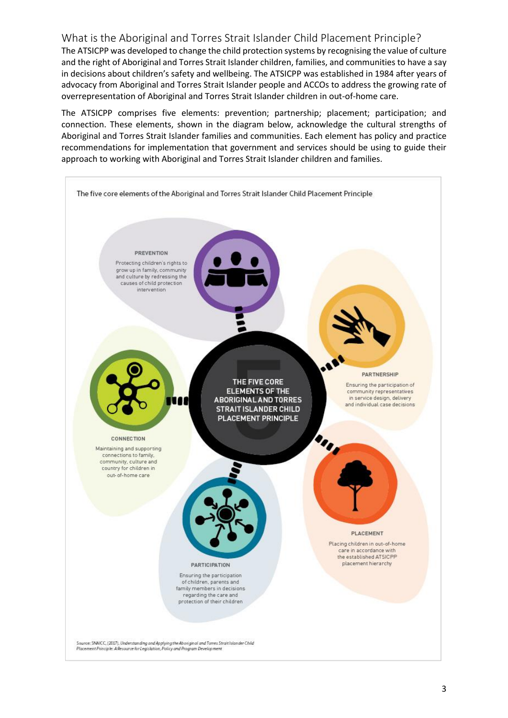#### What is the Aboriginal and Torres Strait Islander Child Placement Principle?

The ATSICPP was developed to change the child protection systems by recognising the value of culture and the right of Aboriginal and Torres Strait Islander children, families, and communities to have a say in decisions about children's safety and wellbeing. The ATSICPP was established in 1984 after years of advocacy from Aboriginal and Torres Strait Islander people and ACCOs to address the growing rate of overrepresentation of Aboriginal and Torres Strait Islander children in out-of-home care.

The ATSICPP comprises five elements: prevention; partnership; placement; participation; and connection. These elements, shown in the diagram below, acknowledge the cultural strengths of Aboriginal and Torres Strait Islander families and communities. Each element has policy and practice recommendations for implementation that government and services should be using to guide their approach to working with Aboriginal and Torres Strait Islander children and families.

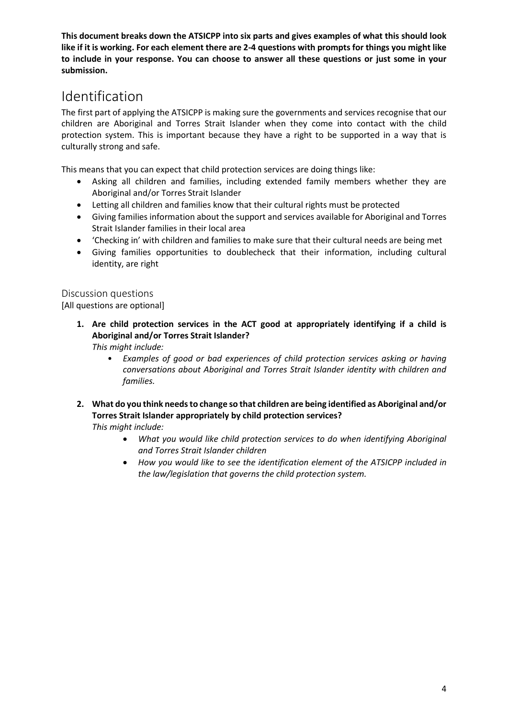**This document breaks down the ATSICPP into six parts and gives examples of what this should look like if it is working. For each element there are 2-4 questions with prompts for things you might like to include in your response. You can choose to answer all these questions or just some in your submission.** 

## Identification

The first part of applying the ATSICPP is making sure the governments and services recognise that our children are Aboriginal and Torres Strait Islander when they come into contact with the child protection system. This is important because they have a right to be supported in a way that is culturally strong and safe.

This means that you can expect that child protection services are doing things like:

- Asking all children and families, including extended family members whether they are Aboriginal and/or Torres Strait Islander
- Letting all children and families know that their cultural rights must be protected
- Giving families information about the support and services available for Aboriginal and Torres Strait Islander families in their local area
- 'Checking in' with children and families to make sure that their cultural needs are being met
- Giving families opportunities to doublecheck that their information, including cultural identity, are right

#### Discussion questions

[All questions are optional]

**1. Are child protection services in the ACT good at appropriately identifying if a child is Aboriginal and/or Torres Strait Islander?** 

*This might include:* 

- *Examples of good or bad experiences of child protection services asking or having conversations about Aboriginal and Torres Strait Islander identity with children and families.*
- **2. What do you think needs to change so that children are being identified as Aboriginal and/or Torres Strait Islander appropriately by child protection services?**

- *What you would like child protection services to do when identifying Aboriginal and Torres Strait Islander children*
- *How you would like to see the identification element of the ATSICPP included in the law/legislation that governs the child protection system.*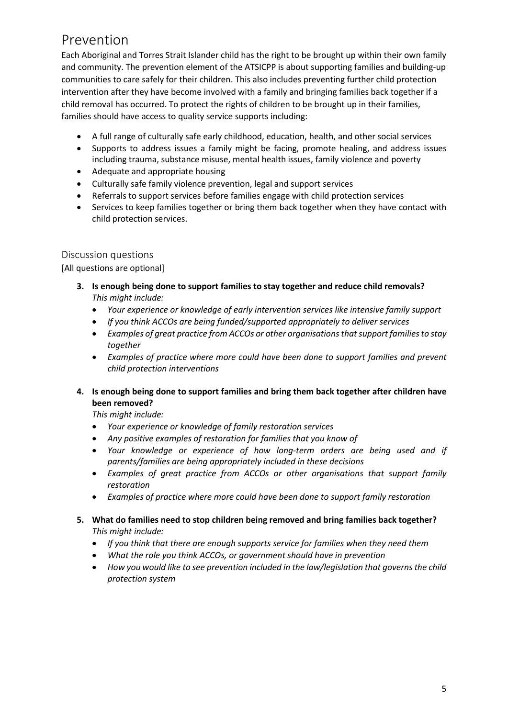## Prevention

Each Aboriginal and Torres Strait Islander child has the right to be brought up within their own family and community. The prevention element of the ATSICPP is about supporting families and building-up communities to care safely for their children. This also includes preventing further child protection intervention after they have become involved with a family and bringing families back together if a child removal has occurred. To protect the rights of children to be brought up in their families, families should have access to quality service supports including:

- A full range of culturally safe early childhood, education, health, and other social services
- Supports to address issues a family might be facing, promote healing, and address issues including trauma, substance misuse, mental health issues, family violence and poverty
- Adequate and appropriate housing
- Culturally safe family violence prevention, legal and support services
- Referrals to support services before families engage with child protection services
- Services to keep families together or bring them back together when they have contact with child protection services.

#### Discussion questions

[All questions are optional]

- **3. Is enough being done to support families to stay together and reduce child removals?** *This might include:*
	- *Your experience or knowledge of early intervention services like intensive family support*
	- *If you think ACCOs are being funded/supported appropriately to deliver services*
	- *Examples of great practice from ACCOs or other organisations that support families to stay together*
	- *Examples of practice where more could have been done to support families and prevent child protection interventions*
- **4. Is enough being done to support families and bring them back together after children have been removed?**

- *Your experience or knowledge of family restoration services*
- *Any positive examples of restoration for families that you know of*
- *Your knowledge or experience of how long-term orders are being used and if parents/families are being appropriately included in these decisions*
- *Examples of great practice from ACCOs or other organisations that support family restoration*
- *Examples of practice where more could have been done to support family restoration*
- **5. What do families need to stop children being removed and bring families back together?** *This might include:*
	- *If you think that there are enough supports service for families when they need them*
	- *What the role you think ACCOs, or government should have in prevention*
	- *How you would like to see prevention included in the law/legislation that governs the child protection system*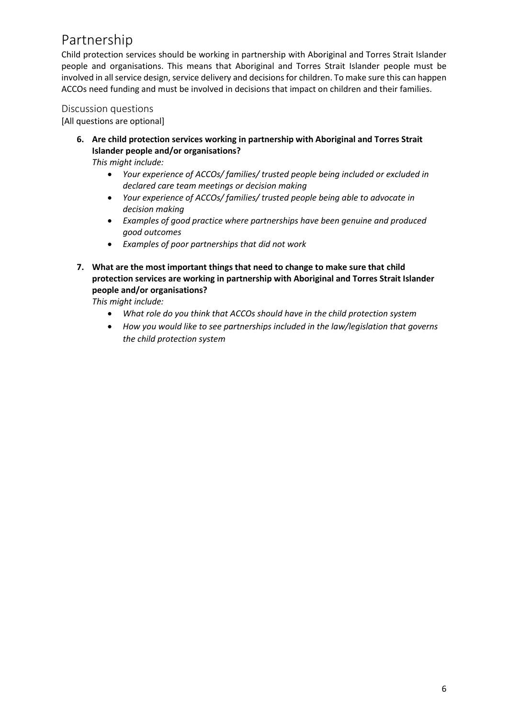## Partnership

Child protection services should be working in partnership with Aboriginal and Torres Strait Islander people and organisations. This means that Aboriginal and Torres Strait Islander people must be involved in all service design, service delivery and decisions for children. To make sure this can happen ACCOs need funding and must be involved in decisions that impact on children and their families.

Discussion questions

[All questions are optional]

**6. Are child protection services working in partnership with Aboriginal and Torres Strait Islander people and/or organisations?**

*This might include:*

- *Your experience of ACCOs/ families/ trusted people being included or excluded in declared care team meetings or decision making*
- *Your experience of ACCOs/ families/ trusted people being able to advocate in decision making*
- *Examples of good practice where partnerships have been genuine and produced good outcomes*
- *Examples of poor partnerships that did not work*
- **7. What are the most important things that need to change to make sure that child protection services are working in partnership with Aboriginal and Torres Strait Islander people and/or organisations?**

- *What role do you think that ACCOs should have in the child protection system*
- *How you would like to see partnerships included in the law/legislation that governs the child protection system*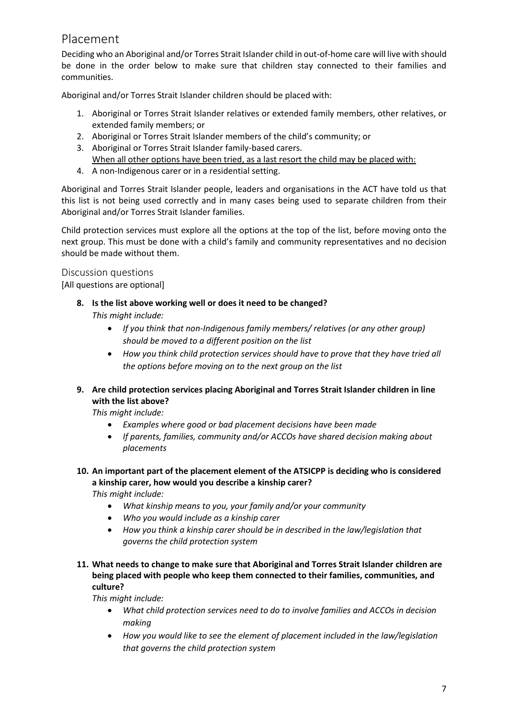### Placement

Deciding who an Aboriginal and/or Torres Strait Islander child in out-of-home care will live with should be done in the order below to make sure that children stay connected to their families and communities.

Aboriginal and/or Torres Strait Islander children should be placed with:

- 1. Aboriginal or Torres Strait Islander relatives or extended family members, other relatives, or extended family members; or
- 2. Aboriginal or Torres Strait Islander members of the child's community; or
- 3. Aboriginal or Torres Strait Islander family-based carers. When all other options have been tried, as a last resort the child may be placed with:
- 4. A non-Indigenous carer or in a residential setting.

Aboriginal and Torres Strait Islander people, leaders and organisations in the ACT have told us that this list is not being used correctly and in many cases being used to separate children from their Aboriginal and/or Torres Strait Islander families.

Child protection services must explore all the options at the top of the list, before moving onto the next group. This must be done with a child's family and community representatives and no decision should be made without them.

#### Discussion questions

[All questions are optional]

- **8. Is the list above working well or does it need to be changed?**  *This might include:* 
	- *If you think that non-Indigenous family members/ relatives (or any other group) should be moved to a different position on the list*
	- *How you think child protection services should have to prove that they have tried all the options before moving on to the next group on the list*
- **9. Are child protection services placing Aboriginal and Torres Strait Islander children in line with the list above?**

*This might include:*

- *Examples where good or bad placement decisions have been made*
- *If parents, families, community and/or ACCOs have shared decision making about placements*
- **10. An important part of the placement element of the ATSICPP is deciding who is considered a kinship carer, how would you describe a kinship carer?**

*This might include:*

- *What kinship means to you, your family and/or your community*
- *Who you would include as a kinship carer*
- *How you think a kinship carer should be in described in the law/legislation that governs the child protection system*
- **11. What needs to change to make sure that Aboriginal and Torres Strait Islander children are being placed with people who keep them connected to their families, communities, and culture?**

- *What child protection services need to do to involve families and ACCOs in decision making*
- *How you would like to see the element of placement included in the law/legislation that governs the child protection system*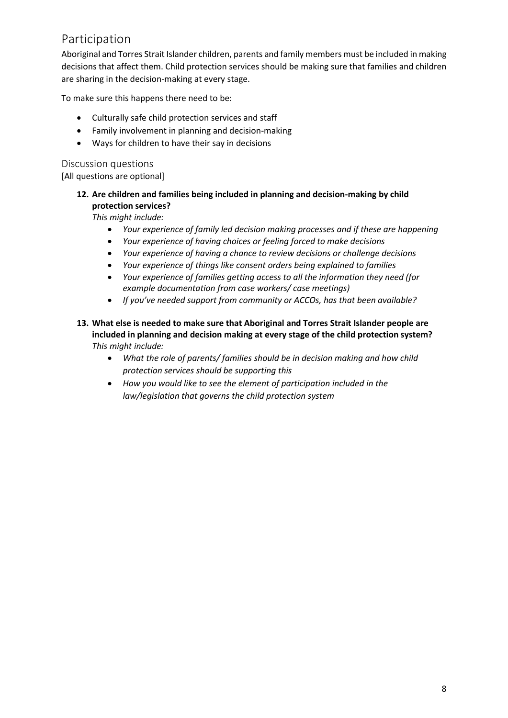## Participation

Aboriginal and Torres Strait Islander children, parents and family members must be included in making decisions that affect them. Child protection services should be making sure that families and children are sharing in the decision-making at every stage.

To make sure this happens there need to be:

- Culturally safe child protection services and staff
- Family involvement in planning and decision-making
- Ways for children to have their say in decisions

#### Discussion questions [All questions are optional]

**12. Are children and families being included in planning and decision-making by child protection services?** 

- *Your experience of family led decision making processes and if these are happening*
- *Your experience of having choices or feeling forced to make decisions*
- *Your experience of having a chance to review decisions or challenge decisions*
- *Your experience of things like consent orders being explained to families*
- *Your experience of families getting access to all the information they need (for example documentation from case workers/ case meetings)*
- *If you've needed support from community or ACCOs, has that been available?*
- **13. What else is needed to make sure that Aboriginal and Torres Strait Islander people are included in planning and decision making at every stage of the child protection system?** *This might include:*
	- *What the role of parents/ families should be in decision making and how child protection services should be supporting this*
	- *How you would like to see the element of participation included in the law/legislation that governs the child protection system*